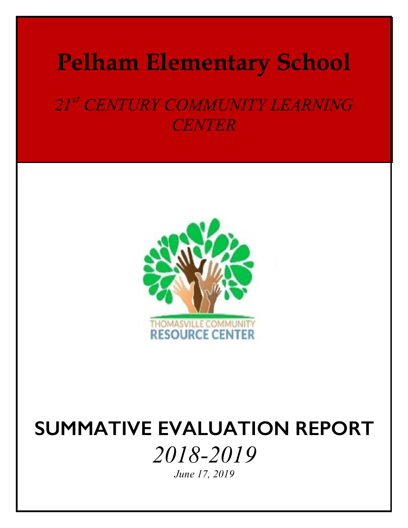# **Pelham Elementary School**

*21st CENTURY COMMUNITY LEARNING CENTER*



# **SUMMATIVE EVALUATION REPORT** *2018-2019*

*June 17, 2019*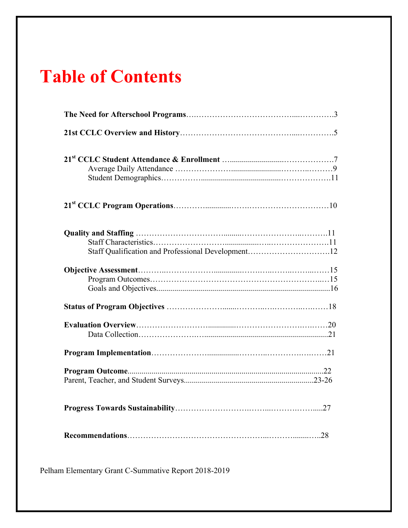## **Table of Contents**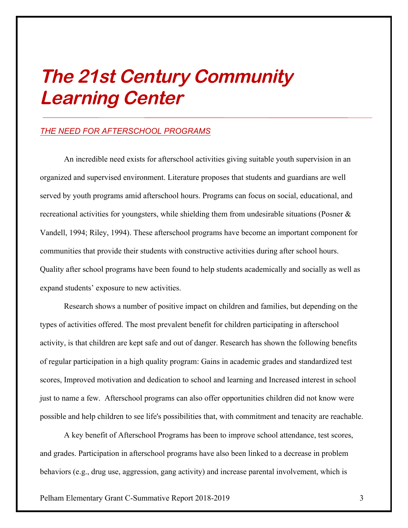# **The 21st Century Community Learning Center**

### *THE NEED FOR AFTERSCHOOL PROGRAMS*

An incredible need exists for afterschool activities giving suitable youth supervision in an organized and supervised environment. Literature proposes that students and guardians are well served by youth programs amid afterschool hours. Programs can focus on social, educational, and recreational activities for youngsters, while shielding them from undesirable situations (Posner & Vandell, 1994; Riley, 1994). These afterschool programs have become an important component for communities that provide their students with constructive activities during after school hours. Quality after school programs have been found to help students academically and socially as well as expand students' exposure to new activities.

Research shows a number of positive impact on children and families, but depending on the types of activities offered. The most prevalent benefit for children participating in afterschool activity, is that children are kept safe and out of danger. Research has shown the following benefits of regular participation in a high quality program: Gains in academic grades and standardized test scores, Improved motivation and dedication to school and learning and Increased interest in school just to name a few. Afterschool programs can also offer opportunities children did not know were possible and help children to see life's possibilities that, with commitment and tenacity are reachable.

A key benefit of Afterschool Programs has been to improve school attendance, test scores, and grades. Participation in afterschool programs have also been linked to a decrease in problem behaviors (e.g., drug use, aggression, gang activity) and increase parental involvement, which is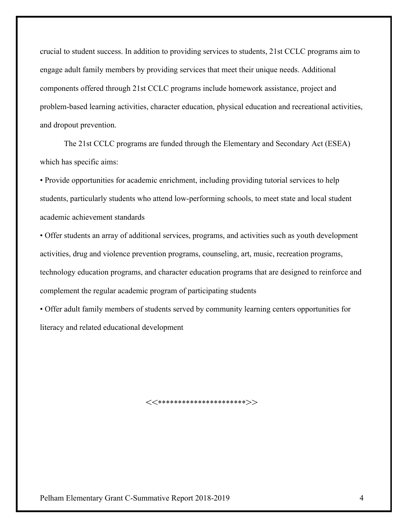crucial to student success. In addition to providing services to students, 21st CCLC programs aim to engage adult family members by providing services that meet their unique needs. Additional components offered through 21st CCLC programs include homework assistance, project and problem-based learning activities, character education, physical education and recreational activities, and dropout prevention.

The 21st CCLC programs are funded through the Elementary and Secondary Act (ESEA) which has specific aims:

• Provide opportunities for academic enrichment, including providing tutorial services to help students, particularly students who attend low-performing schools, to meet state and local student academic achievement standards

• Offer students an array of additional services, programs, and activities such as youth development activities, drug and violence prevention programs, counseling, art, music, recreation programs, technology education programs, and character education programs that are designed to reinforce and complement the regular academic program of participating students

• Offer adult family members of students served by community learning centers opportunities for literacy and related educational development

 $<<$ \*\*\*\*\*\*\*\*\*\*\*\*\*\*\*\*\*\*\*\*\*\*\*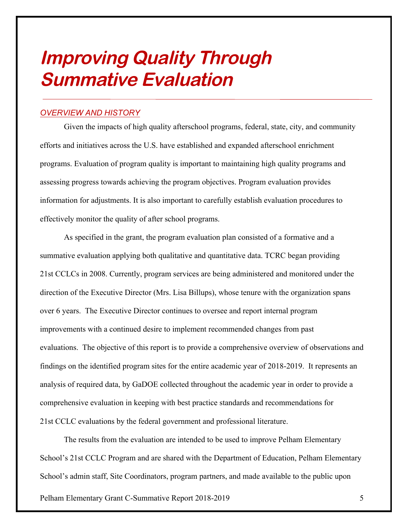## **Improving Quality Through Summative Evaluation**

### *OVERVIEW AND HISTORY*

Given the impacts of high quality afterschool programs, federal, state, city, and community efforts and initiatives across the U.S. have established and expanded afterschool enrichment programs. Evaluation of program quality is important to maintaining high quality programs and assessing progress towards achieving the program objectives. Program evaluation provides information for adjustments. It is also important to carefully establish evaluation procedures to effectively monitor the quality of after school programs.

As specified in the grant, the program evaluation plan consisted of a formative and a summative evaluation applying both qualitative and quantitative data. TCRC began providing 21st CCLCs in 2008. Currently, program services are being administered and monitored under the direction of the Executive Director (Mrs. Lisa Billups), whose tenure with the organization spans over 6 years. The Executive Director continues to oversee and report internal program improvements with a continued desire to implement recommended changes from past evaluations. The objective of this report is to provide a comprehensive overview of observations and findings on the identified program sites for the entire academic year of 2018-2019. It represents an analysis of required data, by GaDOE collected throughout the academic year in order to provide a comprehensive evaluation in keeping with best practice standards and recommendations for 21st CCLC evaluations by the federal government and professional literature.

The results from the evaluation are intended to be used to improve Pelham Elementary School's 21st CCLC Program and are shared with the Department of Education, Pelham Elementary School's admin staff, Site Coordinators, program partners, and made available to the public upon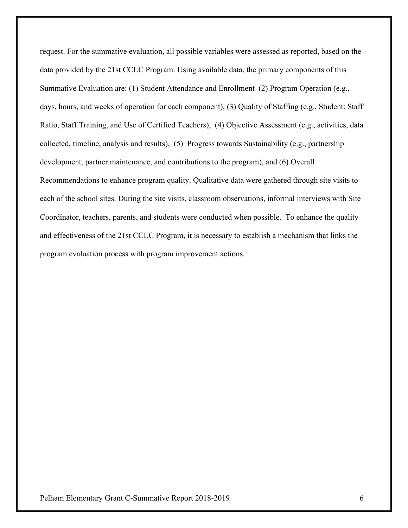request. For the summative evaluation, all possible variables were assessed as reported, based on the data provided by the 21st CCLC Program. Using available data, the primary components of this Summative Evaluation are: (1) Student Attendance and Enrollment (2) Program Operation (e.g., days, hours, and weeks of operation for each component), (3) Quality of Staffing (e.g., Student: Staff Ratio, Staff Training, and Use of Certified Teachers), (4) Objective Assessment (e.g., activities, data collected, timeline, analysis and results), (5) Progress towards Sustainability (e.g., partnership development, partner maintenance, and contributions to the program), and (6) Overall Recommendations to enhance program quality. Qualitative data were gathered through site visits to each of the school sites. During the site visits, classroom observations, informal interviews with Site Coordinator, teachers, parents, and students were conducted when possible. To enhance the quality and effectiveness of the 21st CCLC Program, it is necessary to establish a mechanism that links the program evaluation process with program improvement actions.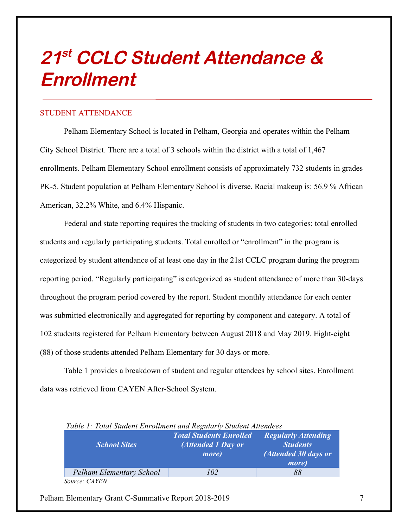## **21st CCLC Student Attendance & Enrollment**

#### STUDENT ATTENDANCE

Pelham Elementary School is located in Pelham, Georgia and operates within the Pelham City School District. There are a total of 3 schools within the district with a total of 1,467 enrollments. Pelham Elementary School enrollment consists of approximately 732 students in grades PK-5. Student population at Pelham Elementary School is diverse. Racial makeup is: 56.9 % African American, 32.2% White, and 6.4% Hispanic.

Federal and state reporting requires the tracking of students in two categories: total enrolled students and regularly participating students. Total enrolled or "enrollment" in the program is categorized by student attendance of at least one day in the 21st CCLC program during the program reporting period. "Regularly participating" is categorized as student attendance of more than 30-days throughout the program period covered by the report. Student monthly attendance for each center was submitted electronically and aggregated for reporting by component and category. A total of 102 students registered for Pelham Elementary between August 2018 and May 2019. Eight-eight (88) of those students attended Pelham Elementary for 30 days or more.

Table 1 provides a breakdown of student and regular attendees by school sites. Enrollment data was retrieved from CAYEN After-School System.

| Tuble 1. Tolul Student Enforment and Regitarly Student Attendees |                                                                       |                                                                                        |
|------------------------------------------------------------------|-----------------------------------------------------------------------|----------------------------------------------------------------------------------------|
| <b>School Sites</b>                                              | <b>Total Students Enrolled</b><br>(Attended 1 Day or<br><i>more</i> ) | <b>Regularly Attending</b><br><b>Students</b><br>(Attended 30 days or<br><i>more</i> ) |
| <b>Pelham Elementary School</b>                                  | 102                                                                   | 88                                                                                     |
| Source: CAYEN                                                    |                                                                       |                                                                                        |

 *Table 1: Total Student Enrollment and Regularly Student Attendees*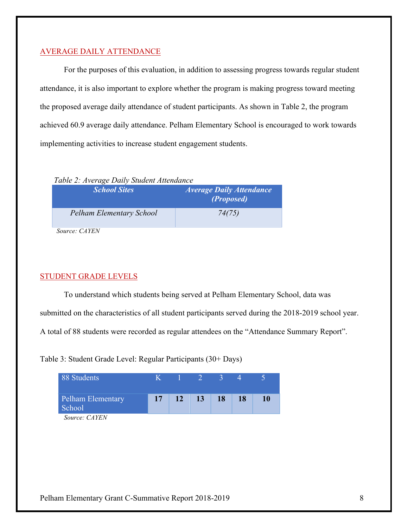#### AVERAGE DAILY ATTENDANCE

For the purposes of this evaluation, in addition to assessing progress towards regular student attendance, it is also important to explore whether the program is making progress toward meeting the proposed average daily attendance of student participants. As shown in Table 2, the program achieved 60.9 average daily attendance. Pelham Elementary School is encouraged to work towards implementing activities to increase student engagement students.

 *Table 2: Average Daily Student Attendance*

| <b>School Sites</b>      | <i><b>Average Daily Attendance</b></i><br>(Proposed) |
|--------------------------|------------------------------------------------------|
| Pelham Elementary School | 74(75)                                               |

 *Source: CAYEN*

#### STUDENT GRADE LEVELS

To understand which students being served at Pelham Elementary School, data was

submitted on the characteristics of all student participants served during the 2018-2019 school year.

A total of 88 students were recorded as regular attendees on the "Attendance Summary Report".

Table 3: Student Grade Level: Regular Participants (30+ Days)

| 88 Students                 |    |           | $\frac{1}{2}$ $\frac{1}{2}$ |           |           |    |
|-----------------------------|----|-----------|-----------------------------|-----------|-----------|----|
| Pelham Elementary<br>School | 17 | <b>12</b> | 13                          | <b>18</b> | <b>18</b> | 10 |
| $S_{OUYCO}$ $CAVFN$         |    |           |                             |           |           |    |

*Source: CAYEN*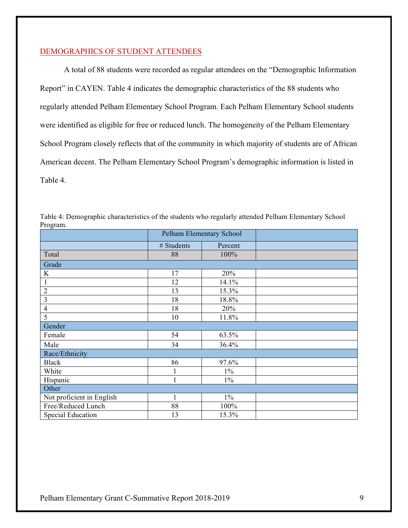#### DEMOGRAPHICS OF STUDENT ATTENDEES

A total of 88 students were recorded as regular attendees on the "Demographic Information Report" in CAYEN. Table 4 indicates the demographic characteristics of the 88 students who regularly attended Pelham Elementary School Program. Each Pelham Elementary School students were identified as eligible for free or reduced lunch. The homogeneity of the Pelham Elementary School Program closely reflects that of the community in which majority of students are of African American decent. The Pelham Elementary School Program's demographic information is listed in Table 4.

| 11051 um.                 | Pelham Elementary School |         |  |  |
|---------------------------|--------------------------|---------|--|--|
|                           | # Students               | Percent |  |  |
| Total                     | 88                       | 100%    |  |  |
| Grade                     |                          |         |  |  |
| K                         | 17                       | 20%     |  |  |
|                           | 12                       | 14.1%   |  |  |
| $\overline{2}$            | 13                       | 15.3%   |  |  |
| 3                         | 18                       | 18.8%   |  |  |
| $\overline{4}$            | 18                       | 20%     |  |  |
| 5                         | 10                       | 11.8%   |  |  |
| Gender                    |                          |         |  |  |
| Female                    | 54                       | 63.5%   |  |  |
| Male                      | 34                       | 36.4%   |  |  |
| Race/Ethnicity            |                          |         |  |  |
| <b>Black</b>              | 86                       | 97.6%   |  |  |
| White                     | 1                        | $1\%$   |  |  |
| Hispanic                  |                          | $1\%$   |  |  |
| Other                     |                          |         |  |  |
| Not proficient in English |                          | $1\%$   |  |  |
| Free/Reduced Lunch        | 88                       | 100%    |  |  |
| <b>Special Education</b>  | 13                       | 15.3%   |  |  |

Table 4: Demographic characteristics of the students who regularly attended Pelham Elementary School Program.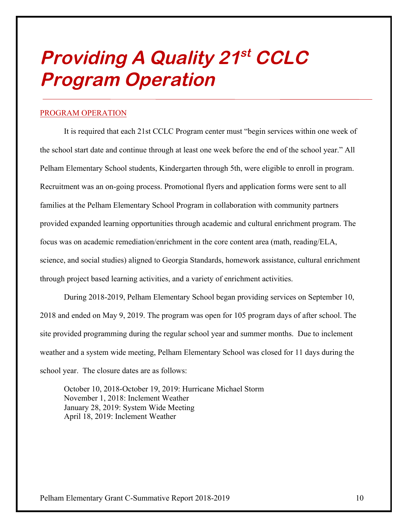## **Providing A Quality 21st CCLC Program Operation**

#### PROGRAM OPERATION

It is required that each 21st CCLC Program center must "begin services within one week of the school start date and continue through at least one week before the end of the school year." All Pelham Elementary School students, Kindergarten through 5th, were eligible to enroll in program. Recruitment was an on-going process. Promotional flyers and application forms were sent to all families at the Pelham Elementary School Program in collaboration with community partners provided expanded learning opportunities through academic and cultural enrichment program. The focus was on academic remediation/enrichment in the core content area (math, reading/ELA, science, and social studies) aligned to Georgia Standards, homework assistance, cultural enrichment through project based learning activities, and a variety of enrichment activities.

During 2018-2019, Pelham Elementary School began providing services on September 10, 2018 and ended on May 9, 2019. The program was open for 105 program days of after school. The site provided programming during the regular school year and summer months. Due to inclement weather and a system wide meeting, Pelham Elementary School was closed for 11 days during the school year. The closure dates are as follows:

October 10, 2018-October 19, 2019: Hurricane Michael Storm November 1, 2018: Inclement Weather January 28, 2019: System Wide Meeting April 18, 2019: Inclement Weather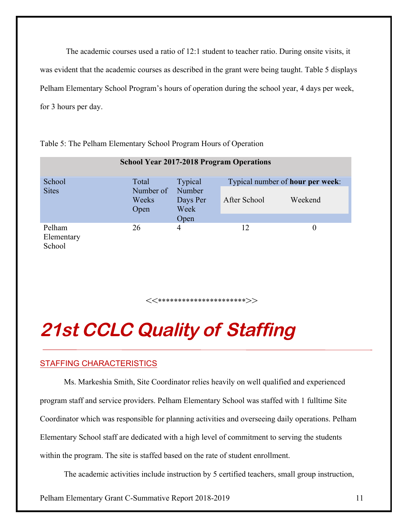The academic courses used a ratio of 12:1 student to teacher ratio. During onsite visits, it was evident that the academic courses as described in the grant were being taught. Table 5 displays Pelham Elementary School Program's hours of operation during the school year, 4 days per week, for 3 hours per day.

| <b>School Year 2017-2018 Program Operations</b> |                            |                                    |                                          |         |  |
|-------------------------------------------------|----------------------------|------------------------------------|------------------------------------------|---------|--|
| School                                          | Total                      | Typical                            | Typical number of <b>hour per week</b> : |         |  |
| <b>Sites</b>                                    | Number of<br>Weeks<br>Open | Number<br>Days Per<br>Week<br>Open | After School                             | Weekend |  |
| Pelham<br>Elementary<br>School                  | 26                         | $\overline{4}$                     | 12                                       | 0       |  |

Table 5: The Pelham Elementary School Program Hours of Operation

<<\*\*\*\*\*\*\*\*\*\*\*\*\*\*\*\*\*\*\*\*\*\*>>

## **21st CCLC Quality of Staffing**

## STAFFING CHARACTERISTICS

Ms. Markeshia Smith, Site Coordinator relies heavily on well qualified and experienced program staff and service providers. Pelham Elementary School was staffed with 1 fulltime Site Coordinator which was responsible for planning activities and overseeing daily operations. Pelham Elementary School staff are dedicated with a high level of commitment to serving the students within the program. The site is staffed based on the rate of student enrollment.

The academic activities include instruction by 5 certified teachers, small group instruction,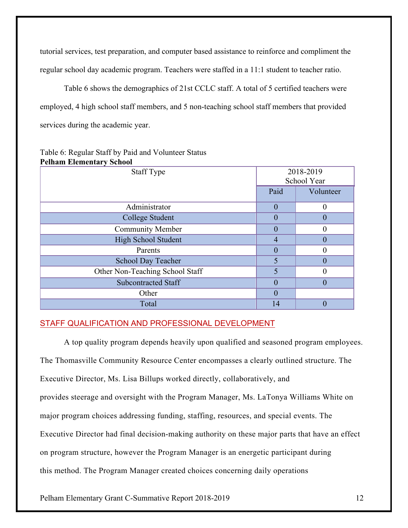tutorial services, test preparation, and computer based assistance to reinforce and compliment the regular school day academic program. Teachers were staffed in a 11:1 student to teacher ratio.

Table 6 shows the demographics of 21st CCLC staff. A total of 5 certified teachers were employed, 4 high school staff members, and 5 non-teaching school staff members that provided services during the academic year.

| тентан Екипении у эспол         |                          |           |
|---------------------------------|--------------------------|-----------|
| <b>Staff Type</b>               | 2018-2019<br>School Year |           |
|                                 | Paid                     | Volunteer |
| Administrator                   | $\theta$                 | $\theta$  |
| College Student                 | 0                        | $\theta$  |
| <b>Community Member</b>         | 0                        |           |
| <b>High School Student</b>      | 4                        |           |
| Parents                         | $\theta$                 | 0         |
| <b>School Day Teacher</b>       |                          | $\Omega$  |
| Other Non-Teaching School Staff |                          |           |
| <b>Subcontracted Staff</b>      | 0                        |           |
| Other                           | $\theta$                 |           |
| Total                           | 14                       |           |

#### Table 6: Regular Staff by Paid and Volunteer Status **Pelham Elementary School**

### STAFF QUALIFICATION AND PROFESSIONAL DEVELOPMENT

A top quality program depends heavily upon qualified and seasoned program employees. The Thomasville Community Resource Center encompasses a clearly outlined structure. The Executive Director, Ms. Lisa Billups worked directly, collaboratively, and provides steerage and oversight with the Program Manager, Ms. LaTonya Williams White on major program choices addressing funding, staffing, resources, and special events. The Executive Director had final decision-making authority on these major parts that have an effect on program structure, however the Program Manager is an energetic participant during this method. The Program Manager created choices concerning daily operations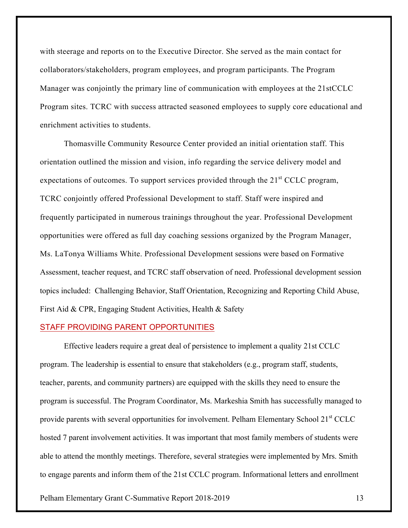with steerage and reports on to the Executive Director. She served as the main contact for collaborators/stakeholders, program employees, and program participants. The Program Manager was conjointly the primary line of communication with employees at the 21stCCLC Program sites. TCRC with success attracted seasoned employees to supply core educational and enrichment activities to students.

Thomasville Community Resource Center provided an initial orientation staff. This orientation outlined the mission and vision, info regarding the service delivery model and expectations of outcomes. To support services provided through the  $21<sup>st</sup> CCLC$  program, TCRC conjointly offered Professional Development to staff. Staff were inspired and frequently participated in numerous trainings throughout the year. Professional Development opportunities were offered as full day coaching sessions organized by the Program Manager, Ms. LaTonya Williams White. Professional Development sessions were based on Formative Assessment, teacher request, and TCRC staff observation of need. Professional development session topics included: Challenging Behavior, Staff Orientation, Recognizing and Reporting Child Abuse, First Aid & CPR, Engaging Student Activities, Health & Safety

#### STAFF PROVIDING PARENT OPPORTUNITIES

Effective leaders require a great deal of persistence to implement a quality 21st CCLC program. The leadership is essential to ensure that stakeholders (e.g., program staff, students, teacher, parents, and community partners) are equipped with the skills they need to ensure the program is successful. The Program Coordinator, Ms. Markeshia Smith has successfully managed to provide parents with several opportunities for involvement. Pelham Elementary School 21<sup>st</sup> CCLC hosted 7 parent involvement activities. It was important that most family members of students were able to attend the monthly meetings. Therefore, several strategies were implemented by Mrs. Smith to engage parents and inform them of the 21st CCLC program. Informational letters and enrollment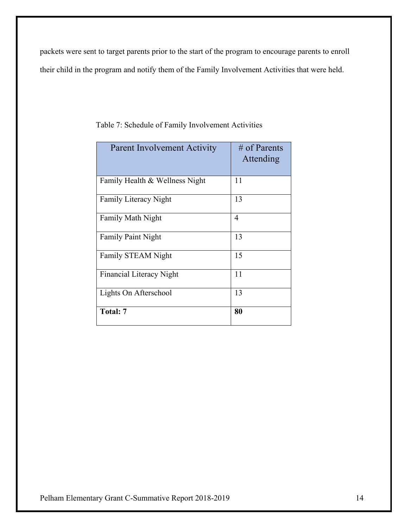packets were sent to target parents prior to the start of the program to encourage parents to enroll their child in the program and notify them of the Family Involvement Activities that were held.

| <b>Parent Involvement Activity</b> | $\#$ of Parents<br>Attending |
|------------------------------------|------------------------------|
| Family Health & Wellness Night     | 11                           |
| <b>Family Literacy Night</b>       | 13                           |
| <b>Family Math Night</b>           | 4                            |
| <b>Family Paint Night</b>          | 13                           |
| <b>Family STEAM Night</b>          | 15                           |
| <b>Financial Literacy Night</b>    | 11                           |
| Lights On Afterschool              | 13                           |
| Total: 7                           | 80                           |

Table 7: Schedule of Family Involvement Activities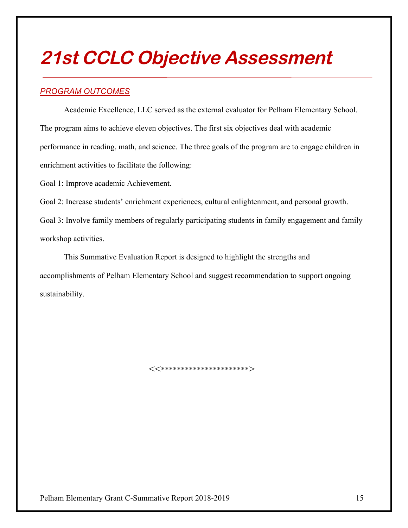## **21st CCLC Objective Assessment**

## *PROGRAM OUTCOMES*

Academic Excellence, LLC served as the external evaluator for Pelham Elementary School. The program aims to achieve eleven objectives. The first six objectives deal with academic performance in reading, math, and science. The three goals of the program are to engage children in enrichment activities to facilitate the following:

Goal 1: Improve academic Achievement.

Goal 2: Increase students' enrichment experiences, cultural enlightenment, and personal growth.

Goal 3: Involve family members of regularly participating students in family engagement and family workshop activities.

This Summative Evaluation Report is designed to highlight the strengths and accomplishments of Pelham Elementary School and suggest recommendation to support ongoing sustainability.

<<\*\*\*\*\*\*\*\*\*\*\*\*\*\*\*\*\*\*\*\*\*\*>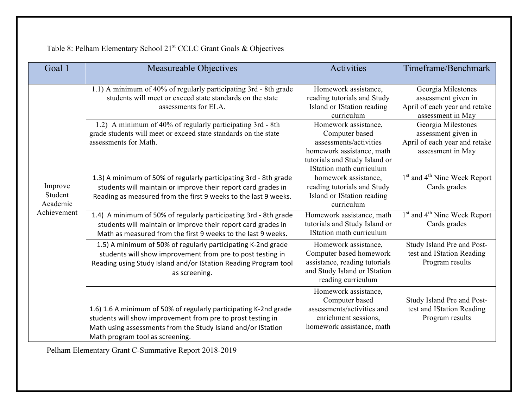| Goal 1                         | <b>Measureable Objectives</b>                                                                                                                                                                                                      | <b>Activities</b>                                                                                                                                          | Timeframe/Benchmark                                                                             |
|--------------------------------|------------------------------------------------------------------------------------------------------------------------------------------------------------------------------------------------------------------------------------|------------------------------------------------------------------------------------------------------------------------------------------------------------|-------------------------------------------------------------------------------------------------|
|                                | 1.1) A minimum of 40% of regularly participating 3rd - 8th grade<br>students will meet or exceed state standards on the state<br>assessments for ELA.                                                                              | Homework assistance,<br>reading tutorials and Study<br>Island or IStation reading<br>curriculum                                                            | Georgia Milestones<br>assessment given in<br>April of each year and retake<br>assessment in May |
|                                | 1.2) A minimum of 40% of regularly participating 3rd - 8th<br>grade students will meet or exceed state standards on the state<br>assessments for Math.                                                                             | Homework assistance,<br>Computer based<br>assessments/activities<br>homework assistance, math<br>tutorials and Study Island or<br>IStation math curriculum | Georgia Milestones<br>assessment given in<br>April of each year and retake<br>assessment in May |
| Improve<br>Student<br>Academic | 1.3) A minimum of 50% of regularly participating 3rd - 8th grade<br>students will maintain or improve their report card grades in<br>Reading as measured from the first 9 weeks to the last 9 weeks.                               | homework assistance,<br>reading tutorials and Study<br>Island or IStation reading<br>curriculum                                                            | 1 <sup>st</sup> and 4 <sup>th</sup> Nine Week Report<br>Cards grades                            |
| Achievement                    | 1.4) A minimum of 50% of regularly participating 3rd - 8th grade<br>students will maintain or improve their report card grades in<br>Math as measured from the first 9 weeks to the last 9 weeks.                                  | Homework assistance, math<br>tutorials and Study Island or<br>IStation math curriculum                                                                     | 1 <sup>st</sup> and 4 <sup>th</sup> Nine Week Report<br>Cards grades                            |
|                                | 1.5) A minimum of 50% of regularly participating K-2nd grade<br>students will show improvement from pre to post testing in<br>Reading using Study Island and/or IStation Reading Program tool<br>as screening.                     | Homework assistance,<br>Computer based homework<br>assistance, reading tutorials<br>and Study Island or IStation<br>reading curriculum                     | Study Island Pre and Post-<br>test and IStation Reading<br>Program results                      |
|                                | 1.6) 1.6 A minimum of 50% of regularly participating K-2nd grade<br>students will show improvement from pre to prost testing in<br>Math using assessments from the Study Island and/or IStation<br>Math program tool as screening. | Homework assistance,<br>Computer based<br>assessments/activities and<br>enrichment sessions,<br>homework assistance, math                                  | Study Island Pre and Post-<br>test and IStation Reading<br>Program results                      |

Table 8: Pelham Elementary School 21<sup>st</sup> CCLC Grant Goals & Objectives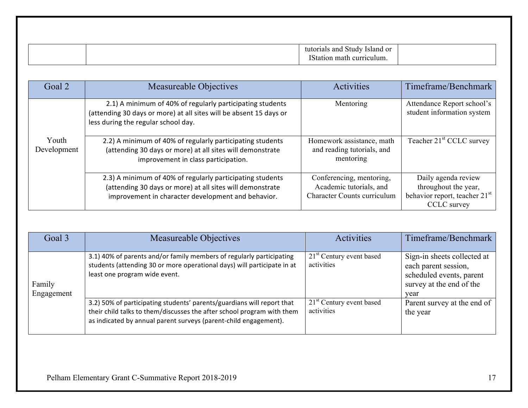| or<br>and<br>sland<br>∴∗nidy:                |  |
|----------------------------------------------|--|
| $T^{\alpha}$<br>$c$ 111<br>` הי<br>uum<br>на |  |

| Goal 2               | Measureable Objectives                                                                                                                                                       | <b>Activities</b>                                                                         | Timeframe/Benchmark                                                                                     |
|----------------------|------------------------------------------------------------------------------------------------------------------------------------------------------------------------------|-------------------------------------------------------------------------------------------|---------------------------------------------------------------------------------------------------------|
|                      | 2.1) A minimum of 40% of regularly participating students<br>(attending 30 days or more) at all sites will be absent 15 days or<br>less during the regular school day.       | Mentoring                                                                                 | Attendance Report school's<br>student information system                                                |
| Youth<br>Development | 2.2) A minimum of 40% of regularly participating students<br>(attending 30 days or more) at all sites will demonstrate<br>improvement in class participation.                | Homework assistance, math<br>and reading tutorials, and<br>mentoring                      | Teacher 21 <sup>st</sup> CCLC survey                                                                    |
|                      | 2.3) A minimum of 40% of regularly participating students<br>(attending 30 days or more) at all sites will demonstrate<br>improvement in character development and behavior. | Conferencing, mentoring,<br>Academic tutorials, and<br><b>Character Counts curriculum</b> | Daily agenda review<br>throughout the year,<br>behavior report, teacher 21 <sup>st</sup><br>CCLC survey |

| Goal 3               | Measureable Objectives                                                                                                                                                                                               | <b>Activities</b>                        | Timeframe/Benchmark                                                                                                 |
|----------------------|----------------------------------------------------------------------------------------------------------------------------------------------------------------------------------------------------------------------|------------------------------------------|---------------------------------------------------------------------------------------------------------------------|
| Family<br>Engagement | 3.1) 40% of parents and/or family members of regularly participating<br>students (attending 30 or more operational days) will participate in at<br>least one program wide event.                                     | $21st$ Century event based<br>activities | Sign-in sheets collected at<br>each parent session,<br>scheduled events, parent<br>survey at the end of the<br>year |
|                      | 3.2) 50% of participating students' parents/guardians will report that<br>their child talks to them/discusses the after school program with them<br>as indicated by annual parent surveys (parent-child engagement). | $21st$ Century event based<br>activities | Parent survey at the end of<br>the year                                                                             |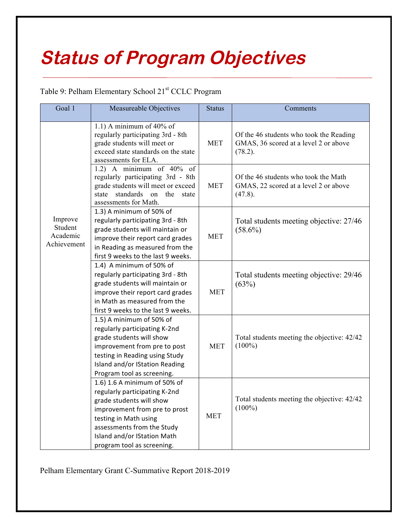# **Status of Program Objectives**

## Table 9: Pelham Elementary School 21<sup>st</sup> CCLC Program

| Goal 1                                        | Measureable Objectives                                                                                                                                                                                                                         | <b>Status</b> | Comments                                                                                    |
|-----------------------------------------------|------------------------------------------------------------------------------------------------------------------------------------------------------------------------------------------------------------------------------------------------|---------------|---------------------------------------------------------------------------------------------|
|                                               | 1.1) A minimum of $40\%$ of<br>regularly participating 3rd - 8th<br>grade students will meet or<br>exceed state standards on the state<br>assessments for ELA.                                                                                 | <b>MET</b>    | Of the 46 students who took the Reading<br>GMAS, 36 scored at a level 2 or above<br>(78.2). |
|                                               | 1.2) A minimum of $40\%$ of<br>regularly participating 3rd - 8th<br>grade students will meet or exceed<br>standards on the<br>state<br>state<br>assessments for Math.                                                                          | <b>MET</b>    | Of the 46 students who took the Math<br>GMAS, 22 scored at a level 2 or above<br>$(47.8)$ . |
| Improve<br>Student<br>Academic<br>Achievement | 1.3) A minimum of 50% of<br>regularly participating 3rd - 8th<br>grade students will maintain or<br>improve their report card grades<br>in Reading as measured from the<br>first 9 weeks to the last 9 weeks.                                  | <b>MET</b>    | Total students meeting objective: 27/46<br>$(58.6\%)$                                       |
|                                               | 1.4) A minimum of 50% of<br>regularly participating 3rd - 8th<br>grade students will maintain or<br>improve their report card grades<br>in Math as measured from the<br>first 9 weeks to the last 9 weeks.                                     | <b>MET</b>    | Total students meeting objective: 29/46<br>(63%)                                            |
|                                               | 1.5) A minimum of 50% of<br>regularly participating K-2nd<br>grade students will show<br>improvement from pre to post<br>testing in Reading using Study<br>Island and/or IStation Reading<br>Program tool as screening.                        | <b>MET</b>    | Total students meeting the objective: 42/42<br>$(100\%)$                                    |
|                                               | 1.6) 1.6 A minimum of 50% of<br>regularly participating K-2nd<br>grade students will show<br>improvement from pre to prost<br>testing in Math using<br>assessments from the Study<br>Island and/or IStation Math<br>program tool as screening. | <b>MET</b>    | Total students meeting the objective: 42/42<br>$(100\%)$                                    |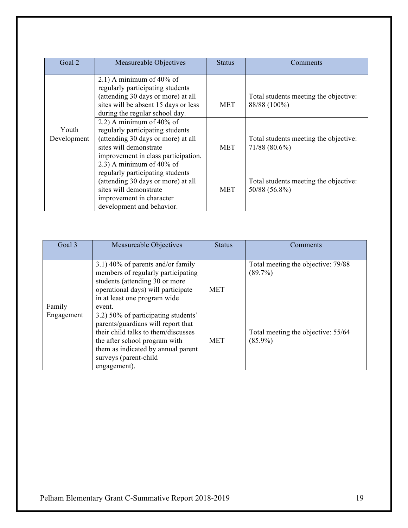| Goal 2               | Measureable Objectives                                                                                                                                                                   | <b>Status</b> | Comments                                                 |
|----------------------|------------------------------------------------------------------------------------------------------------------------------------------------------------------------------------------|---------------|----------------------------------------------------------|
|                      | 2.1) A minimum of $40\%$ of<br>regularly participating students<br>(attending 30 days or more) at all<br>sites will be absent 15 days or less<br>during the regular school day.          | <b>MET</b>    | Total students meeting the objective:<br>88/88 (100%)    |
| Youth<br>Development | 2.2) A minimum of $40\%$ of<br>regularly participating students<br>(attending 30 days or more) at all<br>sites will demonstrate<br>improvement in class participation.                   | MET           | Total students meeting the objective:<br>$71/88(80.6\%)$ |
|                      | 2.3) A minimum of $40\%$ of<br>regularly participating students<br>(attending 30 days or more) at all<br>sites will demonstrate<br>improvement in character<br>development and behavior. | <b>MET</b>    | Total students meeting the objective:<br>50/88 (56.8%)   |

| Goal 3     | Measureable Objectives                                                                                                                                                                                                           | <b>Status</b> | Comments                                         |
|------------|----------------------------------------------------------------------------------------------------------------------------------------------------------------------------------------------------------------------------------|---------------|--------------------------------------------------|
| Family     | $(3.1)$ 40% of parents and/or family<br>members of regularly participating<br>students (attending 30 or more<br>operational days) will participate<br>in at least one program wide<br>event.                                     | <b>MET</b>    | Total meeting the objective: 79/88<br>$(89.7\%)$ |
| Engagement | 3.2) 50% of participating students'<br>parents/guardians will report that<br>their child talks to them/discusses<br>the after school program with<br>them as indicated by annual parent<br>surveys (parent-child<br>engagement). | <b>MET</b>    | Total meeting the objective: 55/64<br>$(85.9\%)$ |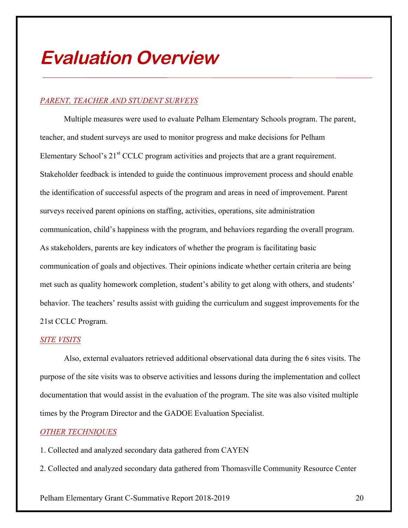## **Evaluation Overview**

### *PARENT, TEACHER AND STUDENT SURVEYS*

Multiple measures were used to evaluate Pelham Elementary Schools program. The parent, teacher, and student surveys are used to monitor progress and make decisions for Pelham Elementary School's 21<sup>st</sup> CCLC program activities and projects that are a grant requirement. Stakeholder feedback is intended to guide the continuous improvement process and should enable the identification of successful aspects of the program and areas in need of improvement. Parent surveys received parent opinions on staffing, activities, operations, site administration communication, child's happiness with the program, and behaviors regarding the overall program. As stakeholders, parents are key indicators of whether the program is facilitating basic communication of goals and objectives. Their opinions indicate whether certain criteria are being met such as quality homework completion, student's ability to get along with others, and students' behavior. The teachers' results assist with guiding the curriculum and suggest improvements for the 21st CCLC Program.

#### *SITE VISITS*

Also, external evaluators retrieved additional observational data during the 6 sites visits. The purpose of the site visits was to observe activities and lessons during the implementation and collect documentation that would assist in the evaluation of the program. The site was also visited multiple times by the Program Director and the GADOE Evaluation Specialist.

#### *OTHER TECHNIQUES*

- 1. Collected and analyzed secondary data gathered from CAYEN
- 2. Collected and analyzed secondary data gathered from Thomasville Community Resource Center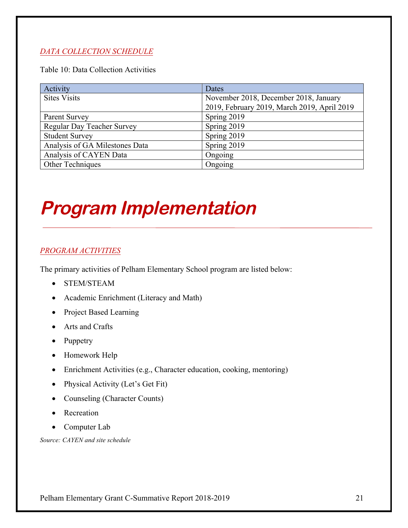### *DATA COLLECTION SCHEDULE*

Table 10: Data Collection Activities

| Activity                          | Dates                                       |
|-----------------------------------|---------------------------------------------|
| <b>Sites Visits</b>               | November 2018, December 2018, January       |
|                                   | 2019, February 2019, March 2019, April 2019 |
| Parent Survey                     | Spring 2019                                 |
| <b>Regular Day Teacher Survey</b> | Spring 2019                                 |
| <b>Student Survey</b>             | Spring 2019                                 |
| Analysis of GA Milestones Data    | Spring 2019                                 |
| Analysis of CAYEN Data            | Ongoing                                     |
| Other Techniques                  | Ongoing                                     |

# **Program Implementation**

### *PROGRAM ACTIVITIES*

The primary activities of Pelham Elementary School program are listed below:

- STEM/STEAM
- Academic Enrichment (Literacy and Math)
- Project Based Learning
- Arts and Crafts
- Puppetry
- Homework Help
- Enrichment Activities (e.g., Character education, cooking, mentoring)
- Physical Activity (Let's Get Fit)
- Counseling (Character Counts)
- Recreation
- Computer Lab

*Source: CAYEN and site schedule*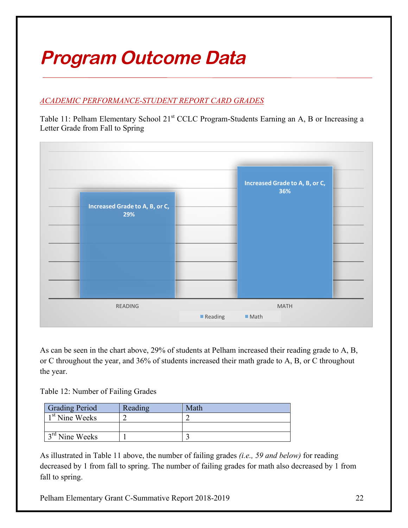# **Program Outcome Data**

## *ACADEMIC PERFORMANCE-STUDENT REPORT CARD GRADES*

Table 11: Pelham Elementary School 21<sup>st</sup> CCLC Program-Students Earning an A, B or Increasing a Letter Grade from Fall to Spring



As can be seen in the chart above, 29% of students at Pelham increased their reading grade to A, B, or C throughout the year, and 36% of students increased their math grade to A, B, or C throughout the year.

Table 12: Number of Failing Grades

| <b>Grading Period</b>      | Reading | Math |
|----------------------------|---------|------|
| 1 <sup>st</sup> Nine Weeks |         |      |
|                            |         |      |
| $3rd$ Nine Weeks           |         |      |

As illustrated in Table 11 above, the number of failing grades *(i.e., 59 and below)* for reading decreased by 1 from fall to spring. The number of failing grades for math also decreased by 1 from fall to spring.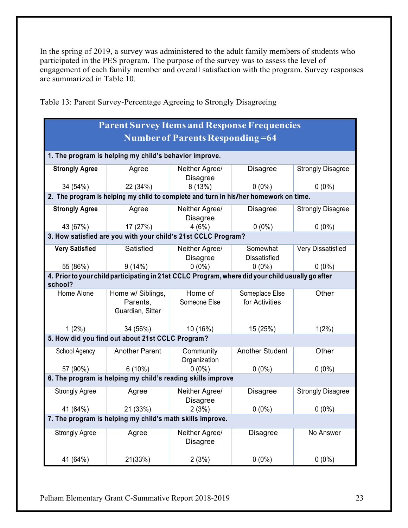In the spring of 2019, a survey was administered to the adult family members of students who participated in the PES program. The purpose of the survey was to assess the level of engagement of each family member and overall satisfaction with the program. Survey responses are summarized in Table 10.

| <b>Parent Survey Items and Response Frequencies</b>       |                                                                                                  |                                   |                                  |                          |  |  |  |
|-----------------------------------------------------------|--------------------------------------------------------------------------------------------------|-----------------------------------|----------------------------------|--------------------------|--|--|--|
|                                                           | <b>Number of Parents Responding=64</b>                                                           |                                   |                                  |                          |  |  |  |
|                                                           | 1. The program is helping my child's behavior improve.                                           |                                   |                                  |                          |  |  |  |
| <b>Strongly Agree</b>                                     | Agree                                                                                            | Neither Agree/<br><b>Disagree</b> | <b>Disagree</b>                  | <b>Strongly Disagree</b> |  |  |  |
| 34 (54%)                                                  | 22 (34%)                                                                                         | 8(13%)                            | $0(0\%)$                         | $0(0\%)$                 |  |  |  |
|                                                           | 2. The program is helping my child to complete and turn in his/her homework on time.             |                                   |                                  |                          |  |  |  |
| <b>Strongly Agree</b>                                     | Agree                                                                                            | Neither Agree/<br><b>Disagree</b> | <b>Disagree</b>                  | <b>Strongly Disagree</b> |  |  |  |
| 43 (67%)                                                  | 17 (27%)                                                                                         | 4(6%)                             | $0(0\%)$                         | $0(0\%)$                 |  |  |  |
|                                                           | 3. How satisfied are you with your child's 21st CCLC Program?                                    |                                   |                                  |                          |  |  |  |
| <b>Very Satisfied</b>                                     | Satisfied                                                                                        | Neither Agree/<br><b>Disagree</b> | Somewhat<br><b>Dissatisfied</b>  | Very Dissatisfied        |  |  |  |
| 55 (86%)                                                  | 9(14%)                                                                                           | $0(0\%)$                          | $0(0\%)$                         | $0(0\%)$                 |  |  |  |
| school?                                                   | 4. Prior to your child participating in 21st CCLC Program, where did your child usually go after |                                   |                                  |                          |  |  |  |
| Home Alone                                                | Home w/ Siblings,<br>Parents,<br>Guardian, Sitter                                                | Home of<br>Someone Else           | Someplace Else<br>for Activities | Other                    |  |  |  |
| $1(2\%)$                                                  | 34 (56%)                                                                                         | 10 (16%)                          | 15 (25%)                         | 1(2%)                    |  |  |  |
|                                                           | 5. How did you find out about 21st CCLC Program?                                                 |                                   |                                  |                          |  |  |  |
| School Agency                                             | <b>Another Parent</b>                                                                            | Community<br>Organization         | <b>Another Student</b>           | Other                    |  |  |  |
| 57 (90%)                                                  | $6(10\%)$                                                                                        | $0(0\%)$                          | $0(0\%)$                         | $0(0\%)$                 |  |  |  |
|                                                           | 6. The program is helping my child's reading skills improve                                      |                                   |                                  |                          |  |  |  |
| <b>Strongly Agree</b>                                     | Agree                                                                                            | Neither Agree/<br><b>Disagree</b> | <b>Disagree</b>                  | <b>Strongly Disagree</b> |  |  |  |
| 41 (64%)                                                  | 21 (33%)                                                                                         | 2(3%)                             | $0(0\%)$                         | $0(0\%)$                 |  |  |  |
| 7. The program is helping my child's math skills improve. |                                                                                                  |                                   |                                  |                          |  |  |  |
| <b>Strongly Agree</b>                                     | Agree                                                                                            | Neither Agree/<br><b>Disagree</b> | <b>Disagree</b>                  | No Answer                |  |  |  |
| 41 (64%)                                                  | 21(33%)                                                                                          | 2(3%)                             | $0(0\%)$                         | $0(0\%)$                 |  |  |  |

Table 13: Parent Survey-Percentage Agreeing to Strongly Disagreeing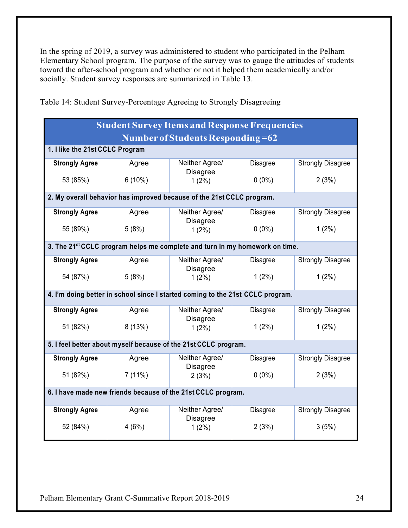In the spring of 2019, a survey was administered to student who participated in the Pelham Elementary School program. The purpose of the survey was to gauge the attitudes of students toward the after-school program and whether or not it helped them academically and/or socially. Student survey responses are summarized in Table 13.

| <b>Student Survey Items and Response Frequencies</b>         |                                                                                         |                             |                 |                          |  |  |  |
|--------------------------------------------------------------|-----------------------------------------------------------------------------------------|-----------------------------|-----------------|--------------------------|--|--|--|
|                                                              | Number of Students Responding=62                                                        |                             |                 |                          |  |  |  |
|                                                              | 1. I like the 21st CCLC Program                                                         |                             |                 |                          |  |  |  |
| <b>Strongly Agree</b>                                        | Agree                                                                                   | Neither Agree/              | <b>Disagree</b> | <b>Strongly Disagree</b> |  |  |  |
| 53 (85%)                                                     | $6(10\%)$                                                                               | <b>Disagree</b><br>$1(2\%)$ | $0(0\%)$        | 2(3%)                    |  |  |  |
|                                                              | 2. My overall behavior has improved because of the 21st CCLC program.                   |                             |                 |                          |  |  |  |
| <b>Strongly Agree</b>                                        | Agree                                                                                   | Neither Agree/              | <b>Disagree</b> | <b>Strongly Disagree</b> |  |  |  |
| 55 (89%)                                                     | 5(8%)                                                                                   | <b>Disagree</b><br>$1(2\%)$ | $0(0\%)$        | $1(2\%)$                 |  |  |  |
|                                                              | 3. The 21 <sup>st</sup> CCLC program helps me complete and turn in my homework on time. |                             |                 |                          |  |  |  |
| <b>Strongly Agree</b>                                        | Agree                                                                                   | Neither Agree/              | <b>Disagree</b> | <b>Strongly Disagree</b> |  |  |  |
| 54 (87%)                                                     | 5(8%)                                                                                   | <b>Disagree</b><br>$1(2\%)$ | $1(2\%)$        | $1(2\%)$                 |  |  |  |
|                                                              | 4. I'm doing better in school since I started coming to the 21st CCLC program.          |                             |                 |                          |  |  |  |
| <b>Strongly Agree</b>                                        | Agree                                                                                   | Neither Agree/              | <b>Disagree</b> | <b>Strongly Disagree</b> |  |  |  |
| 51 (82%)                                                     | 8(13%)                                                                                  | <b>Disagree</b><br>$1(2\%)$ | $1(2\%)$        | $1(2\%)$                 |  |  |  |
|                                                              | 5. I feel better about myself because of the 21st CCLC program.                         |                             |                 |                          |  |  |  |
| <b>Strongly Agree</b>                                        | Agree                                                                                   | Neither Agree/              | <b>Disagree</b> | <b>Strongly Disagree</b> |  |  |  |
| 51 (82%)                                                     | 7(11%)                                                                                  | <b>Disagree</b><br>2(3%)    | $0(0\%)$        | 2(3%)                    |  |  |  |
| 6. I have made new friends because of the 21st CCLC program. |                                                                                         |                             |                 |                          |  |  |  |
| <b>Strongly Agree</b>                                        | Agree                                                                                   | Neither Agree/              | Disagree        | <b>Strongly Disagree</b> |  |  |  |
| 52 (84%)                                                     | 4(6%)                                                                                   | <b>Disagree</b><br>$1(2\%)$ | 2(3%)           | 3(5%)                    |  |  |  |

Table 14: Student Survey-Percentage Agreeing to Strongly Disagreeing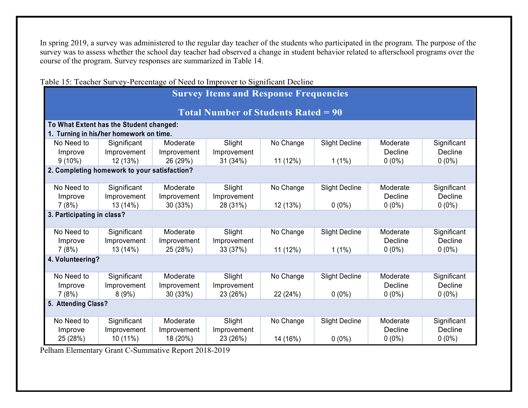In spring 2019, a survey was administered to the regular day teacher of the students who participated in the program. The purpose of the survey was to assess whether the school day teacher had observed a change in student behavior related to afterschool programs over the course of the program. Survey responses are summarized in Table 14.

|                                              |                                              | radie 15. reaction Survey-Percentage of Need to hilprover to Significant Decline |                                            |           |                       |                |                |
|----------------------------------------------|----------------------------------------------|----------------------------------------------------------------------------------|--------------------------------------------|-----------|-----------------------|----------------|----------------|
| <b>Survey Items and Response Frequencies</b> |                                              |                                                                                  |                                            |           |                       |                |                |
|                                              |                                              |                                                                                  |                                            |           |                       |                |                |
|                                              |                                              |                                                                                  | <b>Total Number of Students Rated = 90</b> |           |                       |                |                |
|                                              | To What Extent has the Student changed:      |                                                                                  |                                            |           |                       |                |                |
|                                              | 1. Turning in his/her homework on time.      |                                                                                  |                                            |           |                       |                |                |
| No Need to                                   | Significant                                  | Moderate                                                                         | Slight                                     | No Change | <b>Slight Decline</b> | Moderate       | Significant    |
| Improve                                      | Improvement                                  | Improvement                                                                      | Improvement                                |           |                       | Decline        | <b>Decline</b> |
| $9(10\%)$                                    | 12 (13%)                                     | 26 (29%)                                                                         | 31 (34%)                                   | 11 (12%)  | $1(1\%)$              | $0(0\%)$       | $0(0\%)$       |
|                                              | 2. Completing homework to your satisfaction? |                                                                                  |                                            |           |                       |                |                |
|                                              |                                              |                                                                                  |                                            |           |                       |                |                |
| No Need to                                   | Significant                                  | Moderate                                                                         | Slight                                     | No Change | <b>Slight Decline</b> | Moderate       | Significant    |
| Improve                                      | Improvement                                  | Improvement                                                                      | Improvement                                |           |                       | <b>Decline</b> | Decline        |
| 7(8%)                                        | 13 (14%)                                     | 30 (33%)                                                                         | 28 (31%)                                   | 12 (13%)  | $0(0\%)$              | $0(0\%)$       | $0(0\%)$       |
| 3. Participating in class?                   |                                              |                                                                                  |                                            |           |                       |                |                |
|                                              |                                              |                                                                                  |                                            |           |                       |                |                |
| No Need to                                   | Significant                                  | Moderate                                                                         | Slight                                     | No Change | <b>Slight Decline</b> | Moderate       | Significant    |
| Improve                                      | Improvement                                  | Improvement                                                                      | Improvement                                |           |                       | Decline        | <b>Decline</b> |
| 7(8%)                                        | 13 (14%)                                     | 25 (28%)                                                                         | 33 (37%)                                   | 11 (12%)  | $1(1\%)$              | $0(0\%)$       | $0(0\%)$       |
| 4. Volunteering?                             |                                              |                                                                                  |                                            |           |                       |                |                |
| No Need to                                   | Significant                                  | Moderate                                                                         | Slight                                     | No Change | <b>Slight Decline</b> | Moderate       | Significant    |
| Improve                                      | Improvement                                  | Improvement                                                                      | Improvement                                |           |                       | Decline        | Decline        |
| 7(8%)                                        | 8(9%)                                        | 30 (33%)                                                                         | 23 (26%)                                   | 22 (24%)  | $0(0\%)$              | $0(0\%)$       | $0(0\%)$       |
| 5. Attending Class?                          |                                              |                                                                                  |                                            |           |                       |                |                |
|                                              |                                              |                                                                                  |                                            |           |                       |                |                |
| No Need to                                   | Significant                                  | Moderate                                                                         | Slight                                     | No Change | <b>Slight Decline</b> | Moderate       | Significant    |
| Improve                                      | Improvement                                  | Improvement                                                                      | Improvement                                |           |                       | <b>Decline</b> | <b>Decline</b> |
| 25 (28%)                                     | 10 (11%)                                     | 18 (20%)                                                                         | 23 (26%)                                   | 14 (16%)  | $0(0\%)$              | $0(0\%)$       | $0(0\%)$       |

Table 15: Teacher Survey-Percentage of Need to Improver to Significant Decline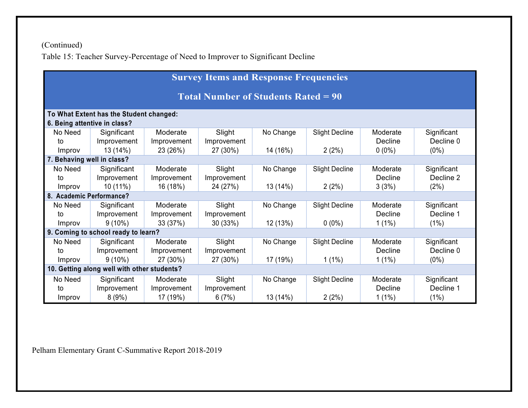(Continued) Table 15: Teacher Survey-Percentage of Need to Improver to Significant Decline

| <b>Survey Items and Response Frequencies</b>                            |                                     |             |             |           |                       |          |             |
|-------------------------------------------------------------------------|-------------------------------------|-------------|-------------|-----------|-----------------------|----------|-------------|
| <b>Total Number of Students Rated = 90</b>                              |                                     |             |             |           |                       |          |             |
| To What Extent has the Student changed:<br>6. Being attentive in class? |                                     |             |             |           |                       |          |             |
| No Need                                                                 | Significant                         | Moderate    | Slight      | No Change | <b>Slight Decline</b> | Moderate | Significant |
| to                                                                      | Improvement                         | Improvement | Improvement |           |                       | Decline  | Decline 0   |
| Improv                                                                  | 13 (14%)                            | 23 (26%)    | 27 (30%)    | 14 (16%)  | 2(2%)                 | $0(0\%)$ | $(0\%)$     |
| 7. Behaving well in class?                                              |                                     |             |             |           |                       |          |             |
| No Need                                                                 | Significant                         | Moderate    | Slight      | No Change | <b>Slight Decline</b> | Moderate | Significant |
| to                                                                      | Improvement                         | Improvement | Improvement |           |                       | Decline  | Decline 2   |
| <i>Improv</i>                                                           | $10(11\%)$                          | 16 (18%)    | 24 (27%)    | 13 (14%)  | $2(2\%)$              | 3(3%)    | (2%)        |
| 8. Academic Performance?                                                |                                     |             |             |           |                       |          |             |
| No Need                                                                 | Significant                         | Moderate    | Slight      | No Change | <b>Slight Decline</b> | Moderate | Significant |
| to                                                                      | Improvement                         | Improvement | Improvement |           |                       | Decline  | Decline 1   |
| Improv                                                                  | $9(10\%)$                           | 33 (37%)    | 30(33%)     | 12 (13%)  | $0(0\%)$              | $1(1\%)$ | (1%)        |
|                                                                         | 9. Coming to school ready to learn? |             |             |           |                       |          |             |
| No Need                                                                 | Significant                         | Moderate    | Slight      | No Change | <b>Slight Decline</b> | Moderate | Significant |
| to                                                                      | Improvement                         | Improvement | Improvement |           |                       | Decline  | Decline 0   |
| Improv                                                                  | $9(10\%)$                           | 27 (30%)    | 27 (30%)    | 17 (19%)  | $1(1\%)$              | $1(1\%)$ | $(0\%)$     |
| 10. Getting along well with other students?                             |                                     |             |             |           |                       |          |             |
| No Need                                                                 | Significant                         | Moderate    | Slight      | No Change | <b>Slight Decline</b> | Moderate | Significant |
| to                                                                      | Improvement                         | Improvement | Improvement |           |                       | Decline  | Decline 1   |
| Improv                                                                  | 8(9%)                               | 17 (19%)    | 6(7%)       | 13 (14%)  | 2(2%)                 | $1(1\%)$ | (1%)        |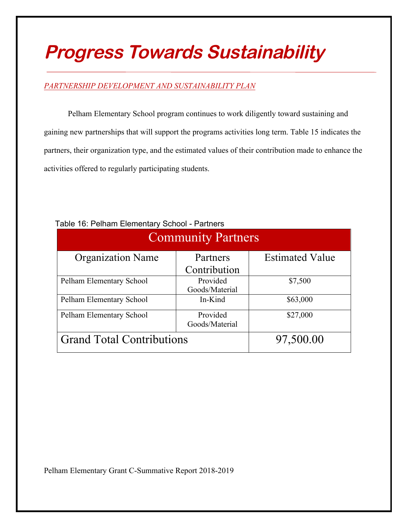# **Progress Towards Sustainability**

## *PARTNERSHIP DEVELOPMENT AND SUSTAINABILITY PLAN*

Pelham Elementary School program continues to work diligently toward sustaining and gaining new partnerships that will support the programs activities long term. Table 15 indicates the partners, their organization type, and the estimated values of their contribution made to enhance the activities offered to regularly participating students.

| <b>Community Partners</b>        |                |                        |  |  |  |
|----------------------------------|----------------|------------------------|--|--|--|
| <b>Organization Name</b>         | Partners       | <b>Estimated Value</b> |  |  |  |
|                                  | Contribution   |                        |  |  |  |
| Pelham Elementary School         | Provided       | \$7,500                |  |  |  |
|                                  | Goods/Material |                        |  |  |  |
| Pelham Elementary School         | In-Kind        | \$63,000               |  |  |  |
| Pelham Elementary School         | Provided       | \$27,000               |  |  |  |
|                                  | Goods/Material |                        |  |  |  |
| <b>Grand Total Contributions</b> | 97,500.00      |                        |  |  |  |

## Table 16: Pelham Elementary School - Partners